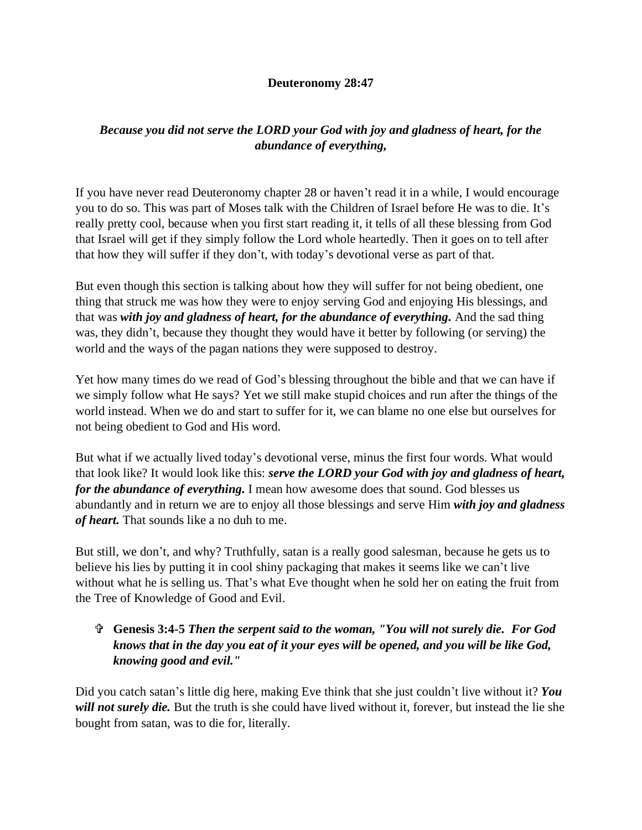## **Deuteronomy 28:47**

## *Because you did not serve the LORD your God with joy and gladness of heart, for the abundance of everything,*

If you have never read Deuteronomy chapter 28 or haven't read it in a while, I would encourage you to do so. This was part of Moses talk with the Children of Israel before He was to die. It's really pretty cool, because when you first start reading it, it tells of all these blessing from God that Israel will get if they simply follow the Lord whole heartedly. Then it goes on to tell after that how they will suffer if they don't, with today's devotional verse as part of that.

But even though this section is talking about how they will suffer for not being obedient, one thing that struck me was how they were to enjoy serving God and enjoying His blessings, and that was *with joy and gladness of heart, for the abundance of everything.* And the sad thing was, they didn't, because they thought they would have it better by following (or serving) the world and the ways of the pagan nations they were supposed to destroy.

Yet how many times do we read of God's blessing throughout the bible and that we can have if we simply follow what He says? Yet we still make stupid choices and run after the things of the world instead. When we do and start to suffer for it, we can blame no one else but ourselves for not being obedient to God and His word.

But what if we actually lived today's devotional verse, minus the first four words. What would that look like? It would look like this: *serve the LORD your God with joy and gladness of heart, for the abundance of everything.* I mean how awesome does that sound. God blesses us abundantly and in return we are to enjoy all those blessings and serve Him *with joy and gladness of heart.* That sounds like a no duh to me.

But still, we don't, and why? Truthfully, satan is a really good salesman, because he gets us to believe his lies by putting it in cool shiny packaging that makes it seems like we can't live without what he is selling us. That's what Eve thought when he sold her on eating the fruit from the Tree of Knowledge of Good and Evil.

## **Genesis 3:4-5** *Then the serpent said to the woman, "You will not surely die. For God knows that in the day you eat of it your eyes will be opened, and you will be like God, knowing good and evil."*

Did you catch satan's little dig here, making Eve think that she just couldn't live without it? *You*  will not surely die. But the truth is she could have lived without it, forever, but instead the lie she bought from satan, was to die for, literally.